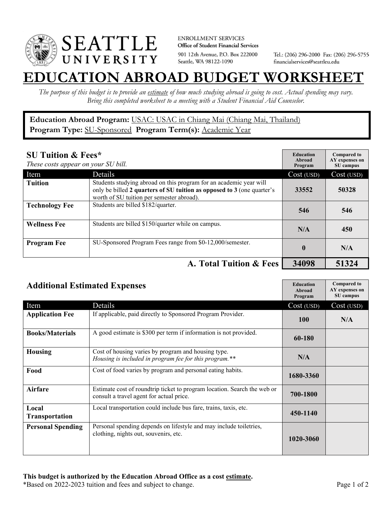

**ENROLLMENT SERVICES** Office of Student Financial Services 901 12th Avenue, P.O. Box 222000 Seattle, WA 98122-1090

Tel.: (206) 296-2000 Fax: (206) 296-5755 financialservices@seattleu.edu

## **EATION ABROAD BUDGET WORKSHEE**

*The purpose of this budget is to provide an estimate of how much studying abroad is going to cost. Actual spending may vary. Bring this completed worksheet to a meeting with a Student Financial Aid Counselor.* 

**Education Abroad Program:** USAC: USAC in Chiang Mai (Chiang Mai, Thailand) Program Type: **SU-Sponsored** Program Term(s): **Academic Year** 

| <b>SU Tuition &amp; Fees*</b><br>These costs appear on your SU bill. |                                                                                                                                                                                           | <b>Education</b><br>Abroad<br>Program | <b>Compared to</b><br>AY expenses on<br>SU campus |
|----------------------------------------------------------------------|-------------------------------------------------------------------------------------------------------------------------------------------------------------------------------------------|---------------------------------------|---------------------------------------------------|
| Item                                                                 | Details                                                                                                                                                                                   | Cost (USD)                            | Cost (USD)                                        |
| <b>Tuition</b>                                                       | Students studying abroad on this program for an academic year will<br>only be billed 2 quarters of SU tuition as opposed to 3 (one quarter's<br>worth of SU tuition per semester abroad). | 33552                                 | 50328                                             |
| <b>Technology Fee</b>                                                | Students are billed \$182/quarter.                                                                                                                                                        | 546                                   | 546                                               |
| <b>Wellness Fee</b>                                                  | Students are billed \$150/quarter while on campus.                                                                                                                                        | N/A                                   | 450                                               |
| <b>Program Fee</b>                                                   | SU-Sponsored Program Fees range from \$0-12,000/semester.                                                                                                                                 | $\mathbf{0}$                          | N/A                                               |
|                                                                      | A. Total Tuition & Fees                                                                                                                                                                   | 34098                                 | 51324                                             |

| <b>Additional Estimated Expenses</b> |                                                                                                                      | <b>Education</b><br>Abroad<br>Program | <b>Compared to</b><br>AY expenses on<br>SU campus |
|--------------------------------------|----------------------------------------------------------------------------------------------------------------------|---------------------------------------|---------------------------------------------------|
| Item                                 | Details                                                                                                              | Cost (USD)                            | Cost (USD)                                        |
| <b>Application Fee</b>               | If applicable, paid directly to Sponsored Program Provider.                                                          | <b>100</b>                            | N/A                                               |
| <b>Books/Materials</b>               | A good estimate is \$300 per term if information is not provided.                                                    | 60-180                                |                                                   |
| <b>Housing</b>                       | Cost of housing varies by program and housing type.<br>Housing is included in program fee for this program.**        | N/A                                   |                                                   |
| Food                                 | Cost of food varies by program and personal eating habits.                                                           | 1680-3360                             |                                                   |
| Airfare                              | Estimate cost of roundtrip ticket to program location. Search the web or<br>consult a travel agent for actual price. | 700-1800                              |                                                   |
| Local<br><b>Transportation</b>       | Local transportation could include bus fare, trains, taxis, etc.                                                     | 450-1140                              |                                                   |
| <b>Personal Spending</b>             | Personal spending depends on lifestyle and may include toiletries,<br>clothing, nights out, souvenirs, etc.          | 1020-3060                             |                                                   |

\*Based on 2022-2023 tuition and fees and subject to change. Page 1 of 2